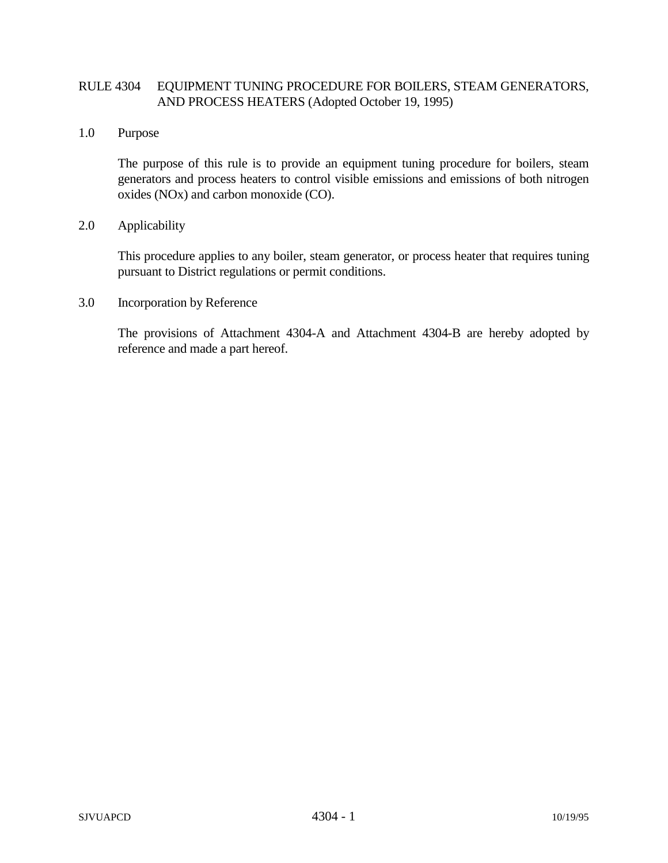## RULE 4304 EQUIPMENT TUNING PROCEDURE FOR BOILERS, STEAM GENERATORS, AND PROCESS HEATERS (Adopted October 19, 1995)

1.0 Purpose

The purpose of this rule is to provide an equipment tuning procedure for boilers, steam generators and process heaters to control visible emissions and emissions of both nitrogen oxides (NOx) and carbon monoxide (CO).

## 2.0 Applicability

This procedure applies to any boiler, steam generator, or process heater that requires tuning pursuant to District regulations or permit conditions.

3.0 Incorporation by Reference

The provisions of Attachment 4304-A and Attachment 4304-B are hereby adopted by reference and made a part hereof.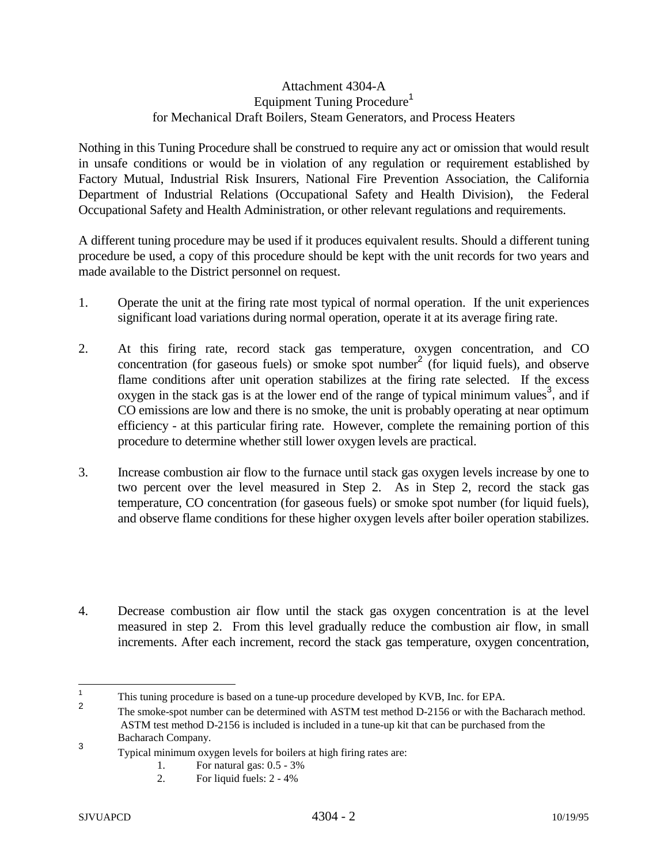## Attachment 4304-A Equipment Tuning Procedure<sup>1</sup> for Mechanical Draft Boilers, Steam Generators, and Process Heaters

Nothing in this Tuning Procedure shall be construed to require any act or omission that would result in unsafe conditions or would be in violation of any regulation or requirement established by Factory Mutual, Industrial Risk Insurers, National Fire Prevention Association, the California Department of Industrial Relations (Occupational Safety and Health Division), the Federal Occupational Safety and Health Administration, or other relevant regulations and requirements.

A different tuning procedure may be used if it produces equivalent results. Should a different tuning procedure be used, a copy of this procedure should be kept with the unit records for two years and made available to the District personnel on request.

- 1. Operate the unit at the firing rate most typical of normal operation. If the unit experiences significant load variations during normal operation, operate it at its average firing rate.
- 2. At this firing rate, record stack gas temperature, oxygen concentration, and CO concentration (for gaseous fuels) or smoke spot number<sup>2</sup> (for liquid fuels), and observe flame conditions after unit operation stabilizes at the firing rate selected. If the excess oxygen in the stack gas is at the lower end of the range of typical minimum values<sup>3</sup>, and if CO emissions are low and there is no smoke, the unit is probably operating at near optimum efficiency - at this particular firing rate. However, complete the remaining portion of this procedure to determine whether still lower oxygen levels are practical.
- 3. Increase combustion air flow to the furnace until stack gas oxygen levels increase by one to two percent over the level measured in Step 2. As in Step 2, record the stack gas temperature, CO concentration (for gaseous fuels) or smoke spot number (for liquid fuels), and observe flame conditions for these higher oxygen levels after boiler operation stabilizes.
- 4. Decrease combustion air flow until the stack gas oxygen concentration is at the level measured in step 2. From this level gradually reduce the combustion air flow, in small increments. After each increment, record the stack gas temperature, oxygen concentration,

 $\mathbf{1}$ 

<sup>&</sup>lt;sup>1</sup> This tuning procedure is based on a tune-up procedure developed by KVB, Inc. for EPA.<br><sup>2</sup> The smoke-spot number can be determined with ASTM test method D-2156 or with the Bacharach method. ASTM test method D-2156 is included is included in a tune-up kit that can be purchased from the

Bacharach Company.<br>3 Typical minimum oxygen levels for boilers at high firing rates are:

<sup>1.</sup> For natural gas: 0.5 - 3%

<sup>2.</sup> For liquid fuels: 2 - 4%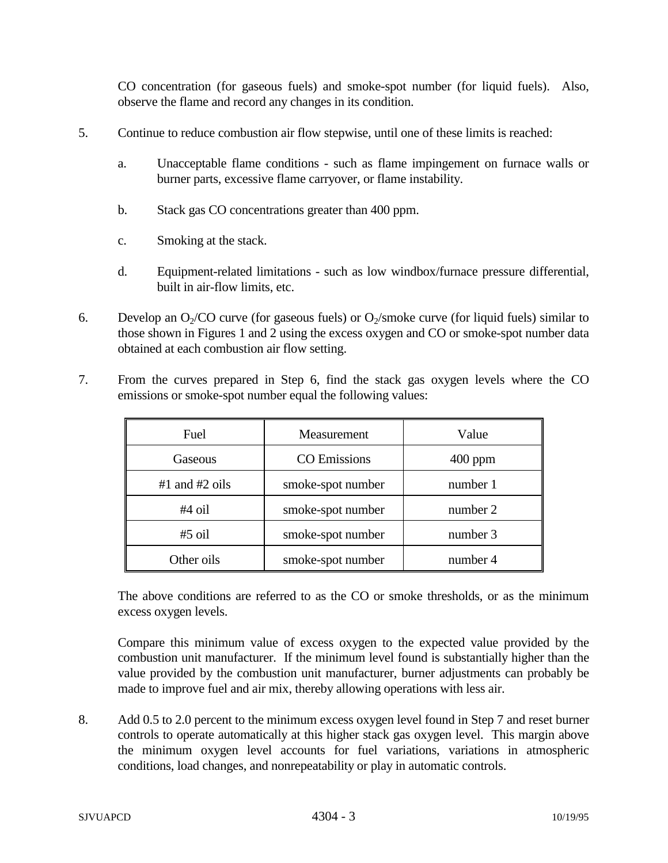CO concentration (for gaseous fuels) and smoke-spot number (for liquid fuels). Also, observe the flame and record any changes in its condition.

- 5. Continue to reduce combustion air flow stepwise, until one of these limits is reached:
	- a. Unacceptable flame conditions such as flame impingement on furnace walls or burner parts, excessive flame carryover, or flame instability.
	- b. Stack gas CO concentrations greater than 400 ppm.
	- c. Smoking at the stack.
	- d. Equipment-related limitations such as low windbox/furnace pressure differential, built in air-flow limits, etc.
- 6. Develop an  $O_2/CO$  curve (for gaseous fuels) or  $O_2$ /smoke curve (for liquid fuels) similar to those shown in Figures 1 and 2 using the excess oxygen and CO or smoke-spot number data obtained at each combustion air flow setting.
- 7. From the curves prepared in Step 6, find the stack gas oxygen levels where the CO emissions or smoke-spot number equal the following values:

| Fuel               | Measurement         | Value     |
|--------------------|---------------------|-----------|
| Gaseous            | <b>CO</b> Emissions | $400$ ppm |
| $#1$ and $#2$ oils | smoke-spot number   | number 1  |
| $#4$ oil           | smoke-spot number   | number 2  |
| $#5$ oil           | smoke-spot number   | number 3  |
| Other oils         | smoke-spot number   | number 4  |

The above conditions are referred to as the CO or smoke thresholds, or as the minimum excess oxygen levels.

Compare this minimum value of excess oxygen to the expected value provided by the combustion unit manufacturer. If the minimum level found is substantially higher than the value provided by the combustion unit manufacturer, burner adjustments can probably be made to improve fuel and air mix, thereby allowing operations with less air.

8. Add 0.5 to 2.0 percent to the minimum excess oxygen level found in Step 7 and reset burner controls to operate automatically at this higher stack gas oxygen level. This margin above the minimum oxygen level accounts for fuel variations, variations in atmospheric conditions, load changes, and nonrepeatability or play in automatic controls.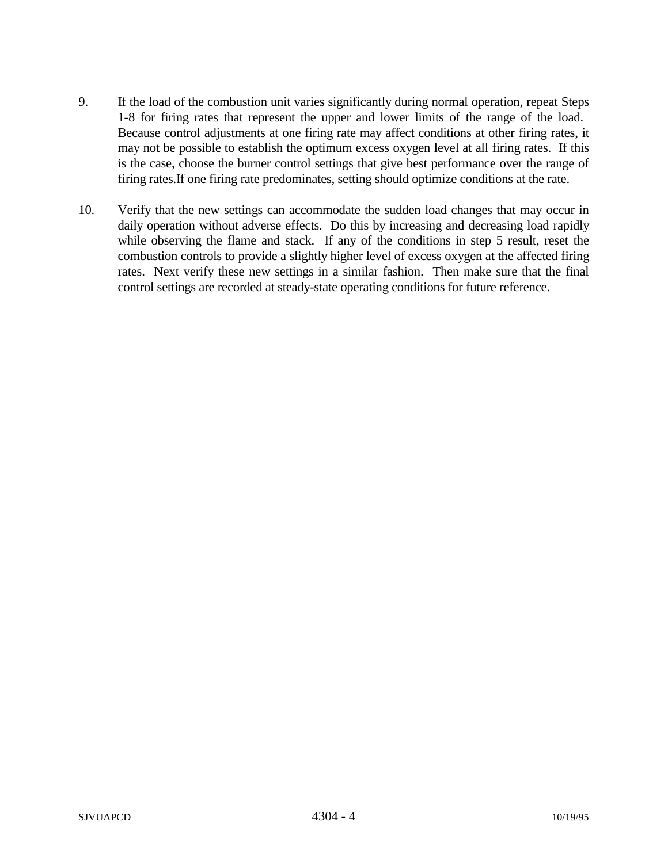- 9. If the load of the combustion unit varies significantly during normal operation, repeat Steps 1-8 for firing rates that represent the upper and lower limits of the range of the load. Because control adjustments at one firing rate may affect conditions at other firing rates, it may not be possible to establish the optimum excess oxygen level at all firing rates. If this is the case, choose the burner control settings that give best performance over the range of firing rates.If one firing rate predominates, setting should optimize conditions at the rate.
- 10. Verify that the new settings can accommodate the sudden load changes that may occur in daily operation without adverse effects. Do this by increasing and decreasing load rapidly while observing the flame and stack. If any of the conditions in step 5 result, reset the combustion controls to provide a slightly higher level of excess oxygen at the affected firing rates. Next verify these new settings in a similar fashion. Then make sure that the final control settings are recorded at steady-state operating conditions for future reference.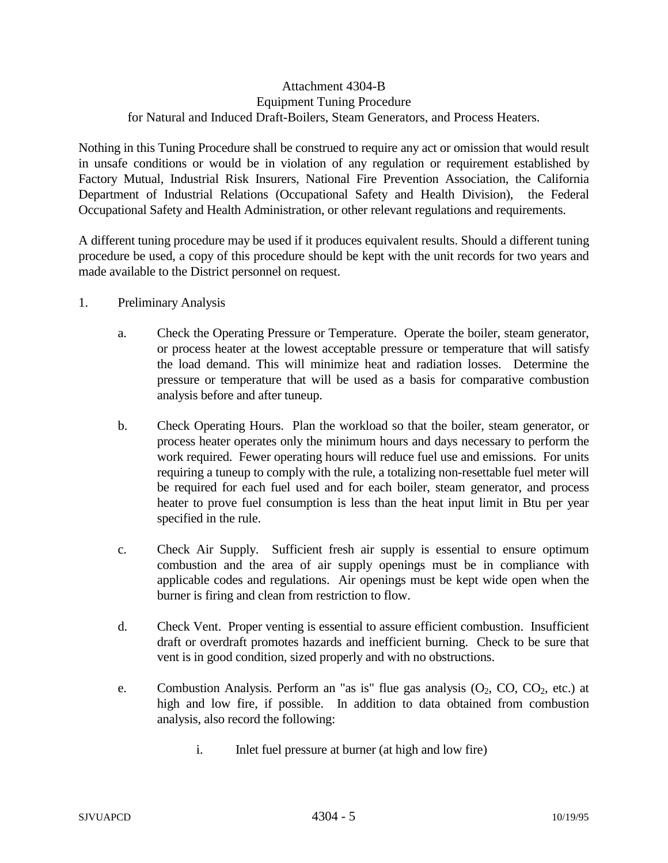## Attachment 4304-B Equipment Tuning Procedure for Natural and Induced Draft-Boilers, Steam Generators, and Process Heaters.

Nothing in this Tuning Procedure shall be construed to require any act or omission that would result in unsafe conditions or would be in violation of any regulation or requirement established by Factory Mutual, Industrial Risk Insurers, National Fire Prevention Association, the California Department of Industrial Relations (Occupational Safety and Health Division), the Federal Occupational Safety and Health Administration, or other relevant regulations and requirements.

A different tuning procedure may be used if it produces equivalent results. Should a different tuning procedure be used, a copy of this procedure should be kept with the unit records for two years and made available to the District personnel on request.

- 1. Preliminary Analysis
	- a. Check the Operating Pressure or Temperature. Operate the boiler, steam generator, or process heater at the lowest acceptable pressure or temperature that will satisfy the load demand. This will minimize heat and radiation losses. Determine the pressure or temperature that will be used as a basis for comparative combustion analysis before and after tuneup.
	- b. Check Operating Hours. Plan the workload so that the boiler, steam generator, or process heater operates only the minimum hours and days necessary to perform the work required. Fewer operating hours will reduce fuel use and emissions. For units requiring a tuneup to comply with the rule, a totalizing non-resettable fuel meter will be required for each fuel used and for each boiler, steam generator, and process heater to prove fuel consumption is less than the heat input limit in Btu per year specified in the rule.
	- c. Check Air Supply. Sufficient fresh air supply is essential to ensure optimum combustion and the area of air supply openings must be in compliance with applicable codes and regulations. Air openings must be kept wide open when the burner is firing and clean from restriction to flow.
	- d. Check Vent. Proper venting is essential to assure efficient combustion. Insufficient draft or overdraft promotes hazards and inefficient burning. Check to be sure that vent is in good condition, sized properly and with no obstructions.
	- e. Combustion Analysis. Perform an "as is" flue gas analysis  $(O_2, CO, CO_2, etc.)$  at high and low fire, if possible. In addition to data obtained from combustion analysis, also record the following:
		- i. Inlet fuel pressure at burner (at high and low fire)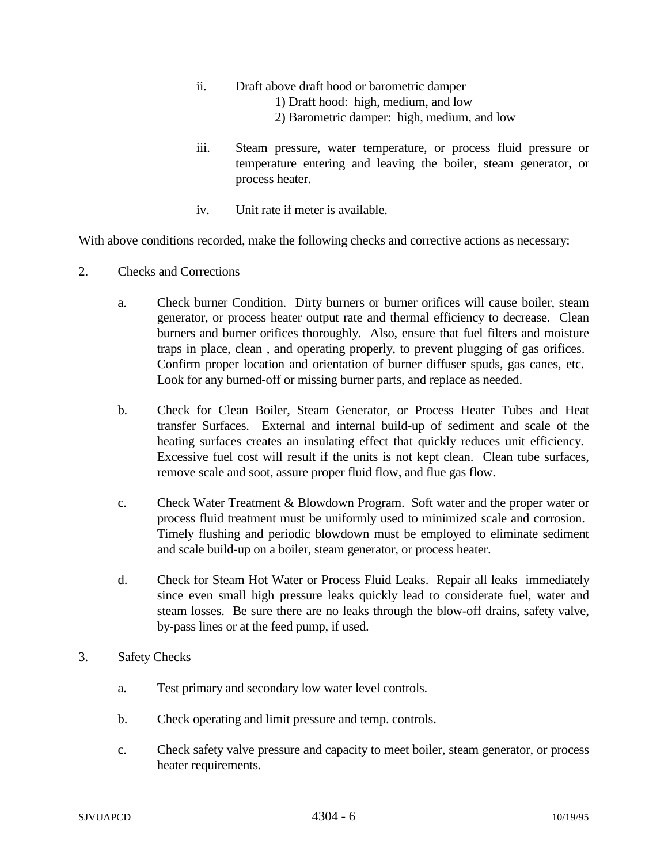- ii. Draft above draft hood or barometric damper
	- 1) Draft hood: high, medium, and low
	- 2) Barometric damper: high, medium, and low
- iii. Steam pressure, water temperature, or process fluid pressure or temperature entering and leaving the boiler, steam generator, or process heater.
- iv. Unit rate if meter is available.

With above conditions recorded, make the following checks and corrective actions as necessary:

- 2. Checks and Corrections
	- a. Check burner Condition. Dirty burners or burner orifices will cause boiler, steam generator, or process heater output rate and thermal efficiency to decrease. Clean burners and burner orifices thoroughly. Also, ensure that fuel filters and moisture traps in place, clean , and operating properly, to prevent plugging of gas orifices. Confirm proper location and orientation of burner diffuser spuds, gas canes, etc. Look for any burned-off or missing burner parts, and replace as needed.
	- b. Check for Clean Boiler, Steam Generator, or Process Heater Tubes and Heat transfer Surfaces. External and internal build-up of sediment and scale of the heating surfaces creates an insulating effect that quickly reduces unit efficiency. Excessive fuel cost will result if the units is not kept clean. Clean tube surfaces, remove scale and soot, assure proper fluid flow, and flue gas flow.
	- c. Check Water Treatment & Blowdown Program. Soft water and the proper water or process fluid treatment must be uniformly used to minimized scale and corrosion. Timely flushing and periodic blowdown must be employed to eliminate sediment and scale build-up on a boiler, steam generator, or process heater.
	- d. Check for Steam Hot Water or Process Fluid Leaks. Repair all leaks immediately since even small high pressure leaks quickly lead to considerate fuel, water and steam losses. Be sure there are no leaks through the blow-off drains, safety valve, by-pass lines or at the feed pump, if used.
- 3. Safety Checks
	- a. Test primary and secondary low water level controls.
	- b. Check operating and limit pressure and temp. controls.
	- c. Check safety valve pressure and capacity to meet boiler, steam generator, or process heater requirements.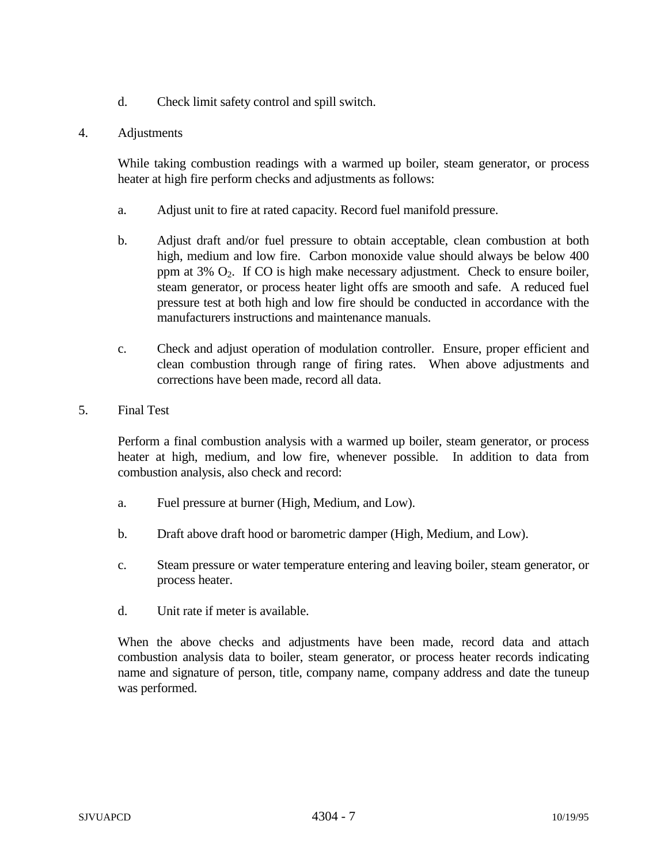- d. Check limit safety control and spill switch.
- 4. Adjustments

While taking combustion readings with a warmed up boiler, steam generator, or process heater at high fire perform checks and adjustments as follows:

- a. Adjust unit to fire at rated capacity. Record fuel manifold pressure.
- b. Adjust draft and/or fuel pressure to obtain acceptable, clean combustion at both high, medium and low fire. Carbon monoxide value should always be below 400 ppm at  $3\%$   $O_2$ . If CO is high make necessary adjustment. Check to ensure boiler, steam generator, or process heater light offs are smooth and safe. A reduced fuel pressure test at both high and low fire should be conducted in accordance with the manufacturers instructions and maintenance manuals.
- c. Check and adjust operation of modulation controller. Ensure, proper efficient and clean combustion through range of firing rates. When above adjustments and corrections have been made, record all data.
- 5. Final Test

Perform a final combustion analysis with a warmed up boiler, steam generator, or process heater at high, medium, and low fire, whenever possible. In addition to data from combustion analysis, also check and record:

- a. Fuel pressure at burner (High, Medium, and Low).
- b. Draft above draft hood or barometric damper (High, Medium, and Low).
- c. Steam pressure or water temperature entering and leaving boiler, steam generator, or process heater.
- d. Unit rate if meter is available.

When the above checks and adjustments have been made, record data and attach combustion analysis data to boiler, steam generator, or process heater records indicating name and signature of person, title, company name, company address and date the tuneup was performed.